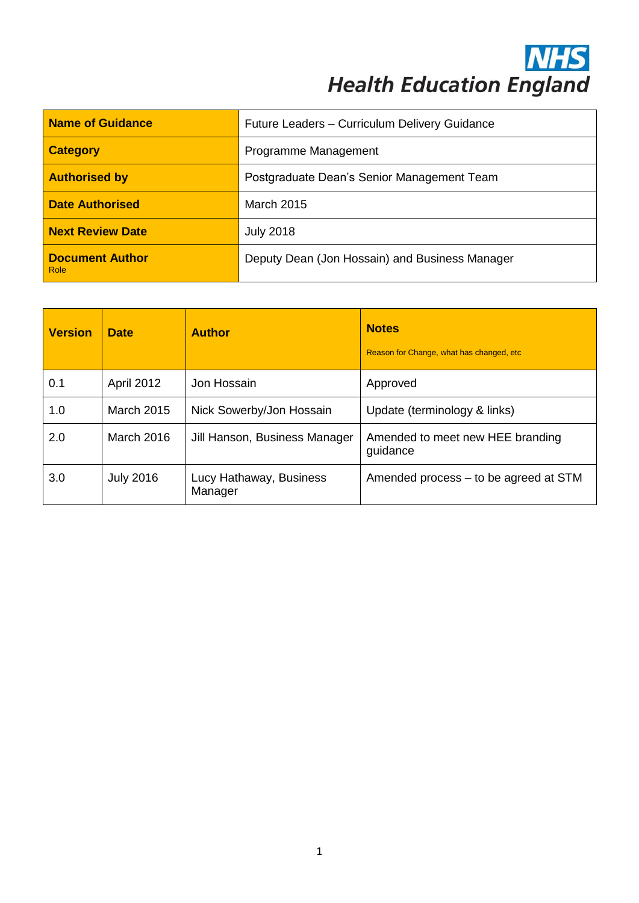**NHS**<br>Health Education England

| <b>Name of Guidance</b>        | Future Leaders - Curriculum Delivery Guidance  |  |
|--------------------------------|------------------------------------------------|--|
| <b>Category</b>                | Programme Management                           |  |
| <b>Authorised by</b>           | Postgraduate Dean's Senior Management Team     |  |
| <b>Date Authorised</b>         | March 2015                                     |  |
| <b>Next Review Date</b>        | <b>July 2018</b>                               |  |
| <b>Document Author</b><br>Role | Deputy Dean (Jon Hossain) and Business Manager |  |

| <b>Version</b> | <b>Date</b>       | <b>Author</b>                      | <b>Notes</b><br>Reason for Change, what has changed, etc. |
|----------------|-------------------|------------------------------------|-----------------------------------------------------------|
| 0.1            | <b>April 2012</b> | Jon Hossain                        | Approved                                                  |
| 1.0            | <b>March 2015</b> | Nick Sowerby/Jon Hossain           | Update (terminology & links)                              |
| 2.0            | <b>March 2016</b> | Jill Hanson, Business Manager      | Amended to meet new HEE branding<br>guidance              |
| 3.0            | <b>July 2016</b>  | Lucy Hathaway, Business<br>Manager | Amended process – to be agreed at STM                     |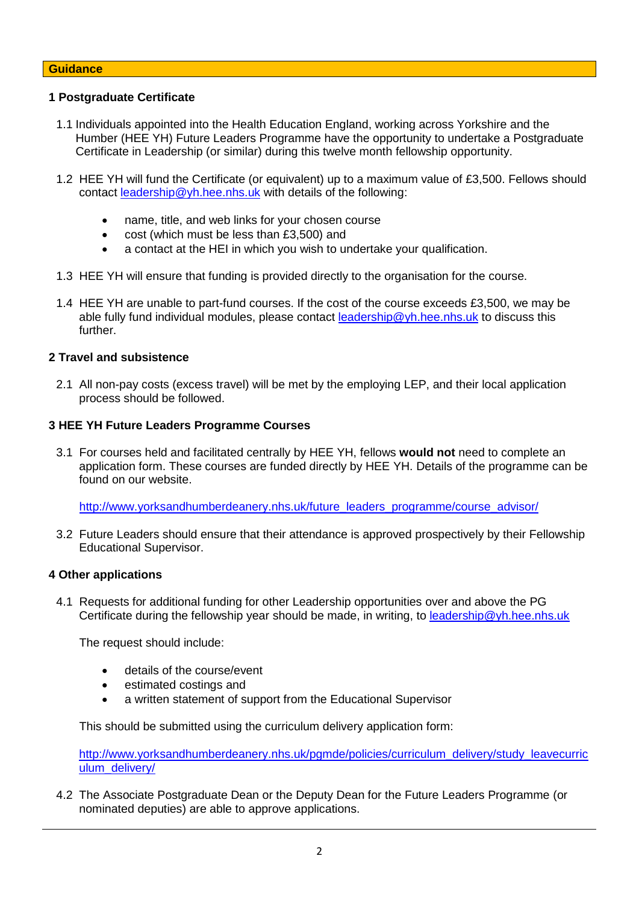### **Guidance**

### **1 Postgraduate Certificate**

- 1.1 Individuals appointed into the Health Education England, working across Yorkshire and the Humber (HEE YH) Future Leaders Programme have the opportunity to undertake a Postgraduate Certificate in Leadership (or similar) during this twelve month fellowship opportunity.
- 1.2 HEE YH will fund the Certificate (or equivalent) up to a maximum value of £3,500. Fellows should contact [leadership@yh.hee.nhs.uk](mailto:leadership@yh.hee.nhs.uk) with details of the following:
	- name, title, and web links for your chosen course
	- cost (which must be less than £3,500) and
	- a contact at the HEI in which you wish to undertake your qualification.
- 1.3 HEE YH will ensure that funding is provided directly to the organisation for the course.
- 1.4 HEE YH are unable to part-fund courses. If the cost of the course exceeds £3,500, we may be able fully fund individual modules, please contact [leadership@yh.hee.nhs.uk](mailto:leadership@yh.hee.nhs.uk) to discuss this further.

# **2 Travel and subsistence**

2.1 All non-pay costs (excess travel) will be met by the employing LEP, and their local application process should be followed.

### **3 HEE YH Future Leaders Programme Courses**

3.1 For courses held and facilitated centrally by HEE YH, fellows **would not** need to complete an application form. These courses are funded directly by HEE YH. Details of the programme can be found on our website.

[http://www.yorksandhumberdeanery.nhs.uk/future\\_leaders\\_programme/course\\_advisor/](http://www.yorksandhumberdeanery.nhs.uk/future_leaders_programme/course_advisor/)

3.2 Future Leaders should ensure that their attendance is approved prospectively by their Fellowship Educational Supervisor.

### **4 Other applications**

4.1 Requests for additional funding for other Leadership opportunities over and above the PG Certificate during the fellowship year should be made, in writing, to [leadership@yh.hee.nhs.uk](mailto:leadership@yh.hee.nhs.uk)

The request should include:

- details of the course/event
- estimated costings and
- a written statement of support from the Educational Supervisor

This should be submitted using the curriculum delivery application form:

[http://www.yorksandhumberdeanery.nhs.uk/pgmde/policies/curriculum\\_delivery/study\\_leavecurric](http://www.yorksandhumberdeanery.nhs.uk/pgmde/policies/curriculum_delivery/study_leavecurriculum_delivery/) ulum\_deliverv/

4.2 The Associate Postgraduate Dean or the Deputy Dean for the Future Leaders Programme (or nominated deputies) are able to approve applications.